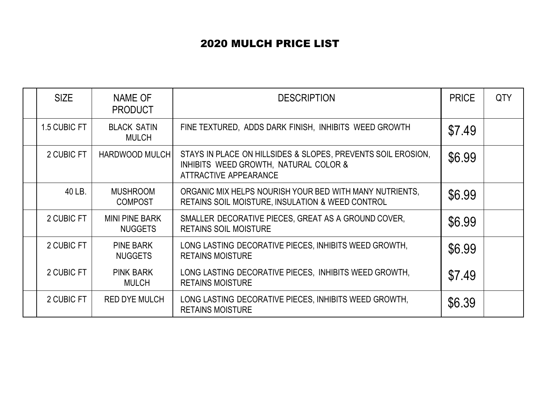## 2020 MULCH PRICE LIST

| <b>SIZE</b>  | NAME OF<br><b>PRODUCT</b>               | <b>DESCRIPTION</b>                                                                                                                    | <b>PRICE</b> | <b>QTY</b> |
|--------------|-----------------------------------------|---------------------------------------------------------------------------------------------------------------------------------------|--------------|------------|
| 1.5 CUBIC FT | <b>BLACK SATIN</b><br><b>MULCH</b>      | FINE TEXTURED, ADDS DARK FINISH, INHIBITS WEED GROWTH                                                                                 | \$7.49       |            |
| 2 CUBIC FT   | <b>HARDWOOD MULCH</b>                   | STAYS IN PLACE ON HILLSIDES & SLOPES, PREVENTS SOIL EROSION,<br>INHIBITS WEED GROWTH, NATURAL COLOR &<br><b>ATTRACTIVE APPEARANCE</b> | \$6.99       |            |
| 40 LB.       | <b>MUSHROOM</b><br><b>COMPOST</b>       | ORGANIC MIX HELPS NOURISH YOUR BED WITH MANY NUTRIENTS,<br><b>RETAINS SOIL MOISTURE, INSULATION &amp; WEED CONTROL</b>                | \$6.99       |            |
| 2 CUBIC FT   | <b>MINI PINE BARK</b><br><b>NUGGETS</b> | SMALLER DECORATIVE PIECES, GREAT AS A GROUND COVER,<br><b>RETAINS SOIL MOISTURE</b>                                                   | \$6.99       |            |
| 2 CUBIC FT   | <b>PINE BARK</b><br><b>NUGGETS</b>      | LONG LASTING DECORATIVE PIECES, INHIBITS WEED GROWTH,<br><b>RETAINS MOISTURE</b>                                                      | \$6.99       |            |
| 2 CUBIC FT   | <b>PINK BARK</b><br><b>MULCH</b>        | LONG LASTING DECORATIVE PIECES, INHIBITS WEED GROWTH,<br><b>RETAINS MOISTURE</b>                                                      | \$7.49       |            |
| 2 CUBIC FT   | <b>RED DYE MULCH</b>                    | LONG LASTING DECORATIVE PIECES, INHIBITS WEED GROWTH,<br><b>RETAINS MOISTURE</b>                                                      | \$6.39       |            |